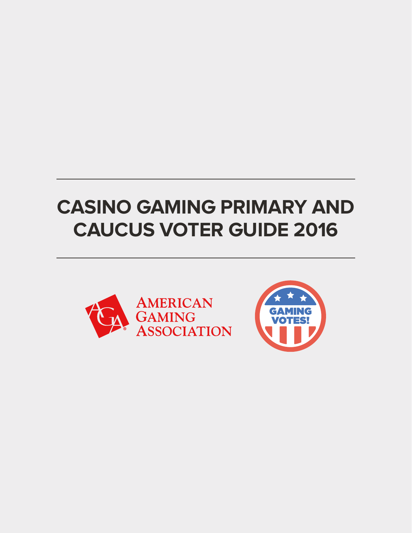# **CASINO GAMING PRIMARY AND CAUCUS VOTER GUIDE 2016**



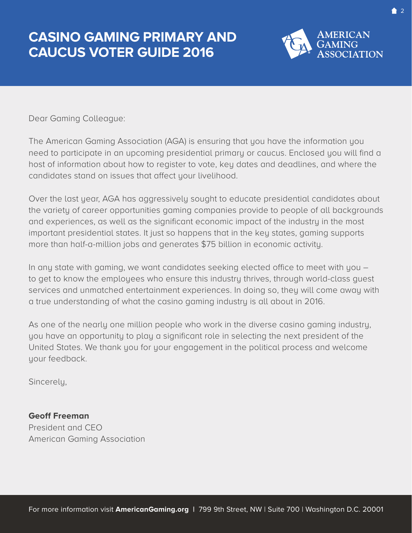### **CASINO GAMING PRIMARY AND CAUCUS VOTER GUIDE 2016**



Dear Gaming Colleague:

The American Gaming Association (AGA) is ensuring that you have the information you need to participate in an upcoming presidential primary or caucus. Enclosed you will find a host of information about how to register to vote, key dates and deadlines, and where the candidates stand on issues that affect your livelihood.

Over the last year, AGA has aggressively sought to educate presidential candidates about the variety of career opportunities gaming companies provide to people of all backgrounds and experiences, as well as the significant economic impact of the industry in the most important presidential states. It just so happens that in the key states, gaming supports more than half-a-million jobs and generates \$75 billion in economic activity.

In any state with gaming, we want candidates seeking elected office to meet with you – to get to know the employees who ensure this industry thrives, through world-class guest services and unmatched entertainment experiences. In doing so, they will come away with a true understanding of what the casino gaming industry is all about in 2016.

As one of the nearly one million people who work in the diverse casino gaming industry, you have an opportunity to play a significant role in selecting the next president of the United States. We thank you for your engagement in the political process and welcome your feedback.

Sincerely,

**Geoff Freeman** President and CEO American Gaming Association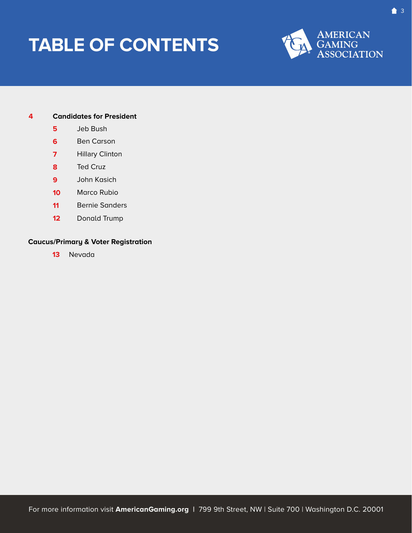# <span id="page-2-0"></span>**TABLE OF CONTENTS**



#### **4 [Candidates for President](#page-3-0)**

- **5** [Jeb Bush](#page-4-0)
- **6** [Ben Carson](#page-5-0)
- **7**  [Hillary](#page-6-0) Clinton
- **8**  [Ted Cruz](#page-7-0)
- **9**  [John Kasi](#page-8-0)ch
- **10**  [Marco Rubio](#page-9-0)
- $11<sup>1</sup>$ [Bernie Sande](#page-10-0)rs
- $12<sup>°</sup>$ [Donald Trump](#page-11-0)

### **[Caucus/Primary & Voter Reg](#page-9-0)istration**

**13** [Nevada](#page-12-0)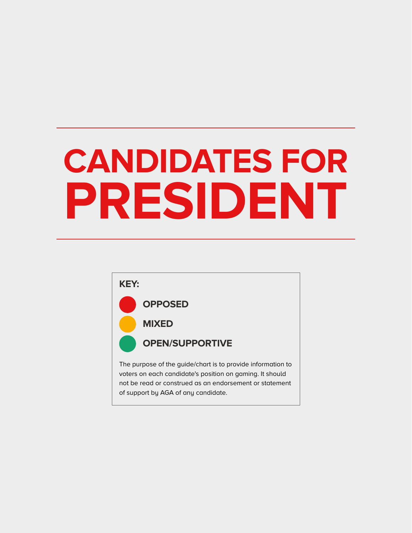<span id="page-3-0"></span>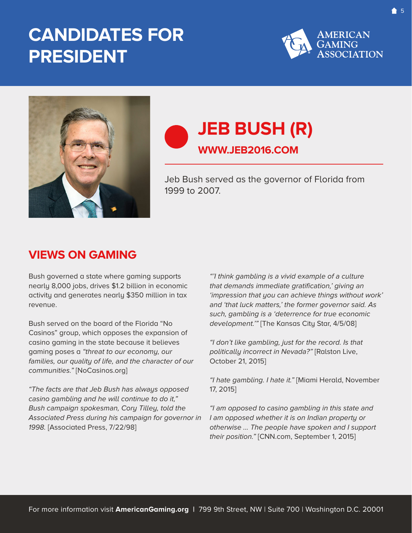

<span id="page-4-0"></span>

### **JEB BUSH (R) WWW.JEB2016.COM**

Jeb Bush served as the governor of Florida from 1999 to 2007.

### **VIEWS ON GAMING**

Bush governed a state where gaming supports nearly 8,000 jobs, drives \$1.2 billion in economic activity and generates nearly \$350 million in tax revenue.

Bush served on the board of the Florida "No Casinos" group, which opposes the expansion of casino gaming in the state because it believes gaming poses a "threat to our economy, our families, our quality of life, and the character of our communities." [NoCasinos.org]

"The facts are that Jeb Bush has always opposed casino gambling and he will continue to do it," Bush campaign spokesman, Cory Tilley, told the Associated Press during his campaign for governor in 1998. [Associated Press, 7/22/98]

"'I think gambling is a vivid example of a culture that demands immediate gratification,' giving an 'impression that you can achieve things without work' and 'that luck matters,' the former governor said. As such, gambling is a 'deterrence for true economic development.'" [The Kansas City Star, 4/5/08]

"I don't like gambling, just for the record. Is that politically incorrect in Nevada?" [Ralston Live, October 21, 2015]

"I hate gambling. I hate it." [Miami Herald, November 17, 2015]

"I am opposed to casino gambling in this state and I am opposed whether it is on Indian property or otherwise ... The people have spoken and I support their position." [CNN.com, September 1, 2015]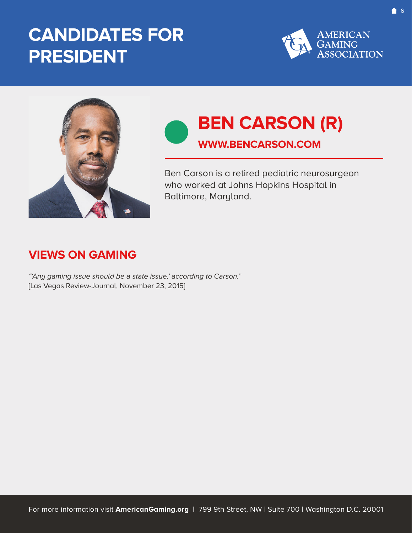

<span id="page-5-0"></span>

### **BEN CARSON (R) WWW.BENCARSON.COM**

Ben Carson is a retired pediatric neurosurgeon who worked at Johns Hopkins Hospital in Baltimore, Maryland.

### **VIEWS ON GAMING**

"'Any gaming issue should be a state issue,' according to Carson." [Las Vegas Review-Journal, November 23, 2015]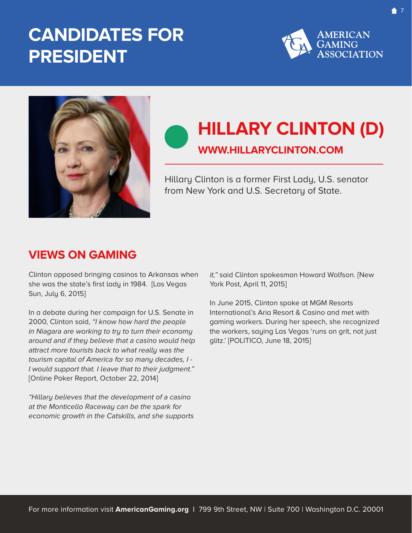

<span id="page-6-0"></span>

# **HILLARY CLINTON (D)**

### **WWW.HILLARYCLINTON.COM**

Hillary Clinton is a former First Lady, U.S. senator from New York and U.S. Secretary of State.

### **VIEWS ON GAMING**

Clinton opposed bringing casinos to Arkansas when she was the state's first lady in 1984. [Las Vegas Sun, July 6, 2015]

In a debate during her campaign for U.S. Senate in 2000, Clinton said, "I know how hard the people in Niagara are working to try to turn their economy around and if they believe that a casino would help attract more tourists back to what really was the tourism capital of America for so many decades, I - I would support that. I leave that to their judgment." [Online Poker Report, October 22, 2014]

"Hillary believes that the development of a casino at the Monticello Raceway can be the spark for economic growth in the Catskills, and she supports it," said Clinton spokesman Howard Wolfson. [New York Post, April 11, 2015]

In June 2015, Clinton spoke at MGM Resorts International's Aria Resort & Casino and met with gaming workers. During her speech, she recognized the workers, saying Las Vegas 'runs on grit, not just glitz.' [POLITICO, June 18, 2015]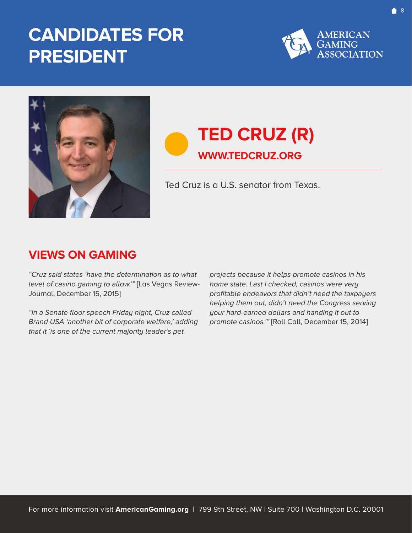

<span id="page-7-0"></span>

### **TED CRUZ (R) WWW.TEDCRUZ.ORG**

Ted Cruz is a U.S. senator from Texas.

### **VIEWS ON GAMING**

"Cruz said states 'have the determination as to what level of casino gaming to allow.'" [Las Vegas Review-Journal, December 15, 2015]

"In a Senate floor speech Friday night, Cruz called Brand USA 'another bit of corporate welfare,' adding that it 'is one of the current majority leader's pet

projects because it helps promote casinos in his home state. Last I checked, casinos were very profitable endeavors that didn't need the taxpayers helping them out, didn't need the Congress serving your hard-earned dollars and handing it out to promote casinos.'" [Roll Call, December 15, 2014]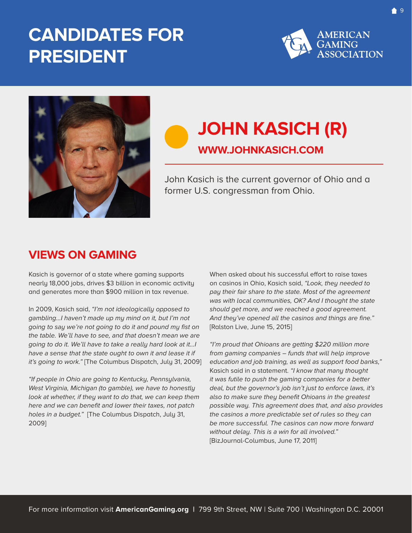

<span id="page-8-0"></span>

### **JOHN KASICH (R) WWW.JOHNKASICH.COM**

John Kasich is the current governor of Ohio and a former U.S. congressman from Ohio.

### **VIEWS ON GAMING**

Kasich is governor of a state where gaming supports nearly 18,000 jobs, drives \$3 billion in economic activity and generates more than \$900 million in tax revenue.

In 2009, Kasich said, "I'm not ideologically opposed to gambling…I haven't made up my mind on it, but I'm not going to say we're not going to do it and pound my fist on the table. We'll have to see, and that doesn't mean we are going to do it. We'll have to take a really hard look at it…I have a sense that the state ought to own it and lease it if it's going to work." [The Columbus Dispatch, July 31, 2009]

"If people in Ohio are going to Kentucky, Pennsylvania, West Virginia, Michigan (to gamble), we have to honestly look at whether, if they want to do that, we can keep them here and we can benefit and lower their taxes, not patch holes in a budget." [The Columbus Dispatch, July 31, 2009]

When asked about his successful effort to raise taxes on casinos in Ohio, Kasich said, "Look, they needed to pay their fair share to the state. Most of the agreement was with local communities, OK? And I thought the state should get more, and we reached a good agreement. And they've opened all the casinos and things are fine." [Ralston Live, June 15, 2015]

"I'm proud that Ohioans are getting \$220 million more from gaming companies – funds that will help improve education and job training, as well as support food banks," Kasich said in a statement. "I know that many thought it was futile to push the gaming companies for a better deal, but the governor's job isn't just to enforce laws, it's also to make sure they benefit Ohioans in the greatest possible way. This agreement does that, and also provides the casinos a more predictable set of rules so they can be more successful. The casinos can now more forward without delay. This is a win for all involved." [BizJournal-Columbus, June 17, 2011]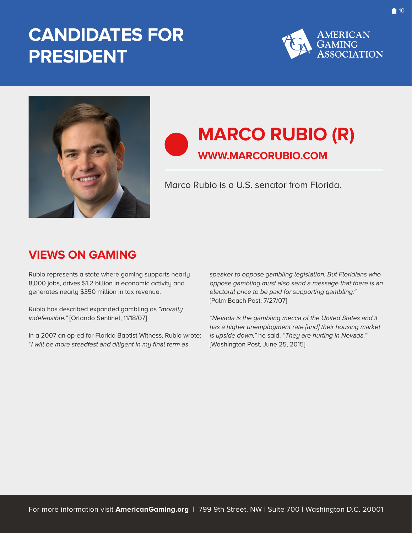

<span id="page-9-0"></span>

### **MARCO RUBIO (R) WWW.MARCORUBIO.COM**

Marco Rubio is a U.S. senator from Florida.

### **VIEWS ON GAMING**

Rubio represents a state where gaming supports nearly 8,000 jobs, drives \$1.2 billion in economic activity and generates nearly \$350 million in tax revenue.

Rubio has described expanded gambling as "morally indefensible." [Orlando Sentinel, 11/18/07]

In a 2007 an op-ed for Florida Baptist Witness, Rubio wrote: "I will be more steadfast and diligent in my final term as

speaker to oppose gambling legislation. But Floridians who oppose gambling must also send a message that there is an electoral price to be paid for supporting gambling." [Palm Beach Post, 7/27/07]

"Nevada is the gambling mecca of the United States and it has a higher unemployment rate [and] their housing market is upside down," he said. "They are hurting in Nevada." [Washington Post, June 25, 2015]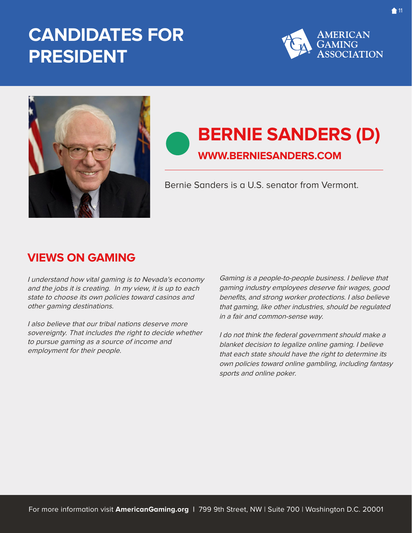

<span id="page-10-0"></span>

### **BERNIE SANDERS (D) WWW.BERNIESANDERS.COM**

Bernie Sanders is a U.S. senator from Vermont.

### **VIEWS ON GAMING**

I understand how vital gaming is to Nevada's economy and the jobs it is creating. In my view, it is up to each state to choose its own policies toward casinos and other gaming destinations.

I also believe that our tribal nations deserve more sovereignty. That includes the right to decide whether to pursue gaming as a source of income and employment for their people.

Gaming is a people-to-people business. I believe that gaming industry employees deserve fair wages, good benefits, and strong worker protections. I also believe that gaming, like other industries, should be regulated in a fair and common-sense way.

I do not think the federal government should make a blanket decision to legalize online gaming. I believe that each state should have the right to determine its own policies toward online gambling, including fantasy sports and online poker.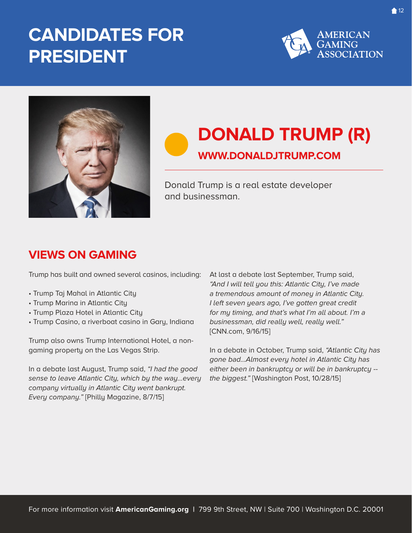

<span id="page-11-0"></span>

# **DONALD TRUMP (R)**

### **WWW.DONALDJTRUMP.COM**

Donald Trump is a real estate developer and businessman.

### **VIEWS ON GAMING**

Trump has built and owned several casinos, including:

- Trump Taj Mahal in Atlantic City
- Trump Marina in Atlantic City
- Trump Plaza Hotel in Atlantic City
- Trump Casino, a riverboat casino in Gary, Indiana

Trump also owns Trump International Hotel, a nongaming property on the Las Vegas Strip.

In a debate last August, Trump said, "I had the good sense to leave Atlantic City, which by the way…every company virtually in Atlantic City went bankrupt. Every company." [Philly Magazine, 8/7/15]

At last a debate last September, Trump said, "And I will tell you this: Atlantic City, I've made a tremendous amount of money in Atlantic City. I left seven years ago, I've gotten great credit for my timing, and that's what I'm all about. I'm a businessman, did really well, really well." [CNN.com, 9/16/15]

In a debate in October, Trump said, "Atlantic City has gone bad…Almost every hotel in Atlantic City has either been in bankruptcy or will be in bankruptcy - the biggest." [Washington Post, 10/28/15]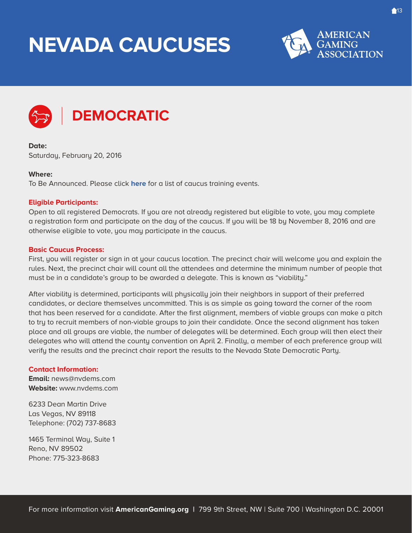# <span id="page-12-0"></span>**NEVADA CAUCUSES**





### **DEMOCRATIC**

**Date:**  Saturday, February 20, 2016

#### **Where:**

To Be Announced. Please click **[here](http://nvsos.gov/Modules/ShowDocument.aspx?documentid=4004)** for a list of caucus training events.

#### **Eligible Participants:**

Open to all registered Democrats. If you are not already registered but eligible to vote, you may complete a registration form and participate on the day of the caucus. If you will be 18 by November 8, 2016 and are otherwise eligible to vote, you may participate in the caucus.

#### **Basic Caucus Process:**

First, you will register or sign in at your caucus location. The precinct chair will welcome you and explain the rules. Next, the precinct chair will count all the attendees and determine the minimum number of people that must be in a candidate's group to be awarded a delegate. This is known as "viability."

After viability is determined, participants will physically join their neighbors in support of their preferred candidates, or declare themselves uncommitted. This is as simple as going toward the corner of the room that has been reserved for a candidate. After the first alignment, members of viable groups can make a pitch to try to recruit members of non-viable groups to join their candidate. Once the second alignment has taken place and all groups are viable, the number of delegates will be determined. Each group will then elect their delegates who will attend the county convention on April 2. Finally, a member of each preference group will verify the results and the precinct chair report the results to the Nevada State Democratic Party.

#### **Contact Information:**

**Email:** news@nvdems.com **Website:** www.nvdems.com

6233 Dean Martin Drive Las Vegas, NV 89118 Telephone: (702) 737-8683

1465 Terminal Way, Suite 1 Reno, NV 89502 Phone: 775-323-8683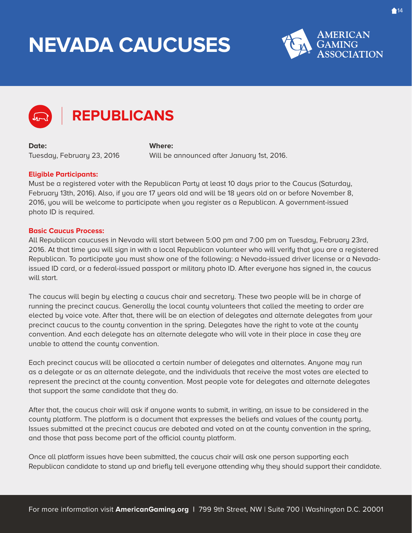# **NEVADA CAUCUSES**





### **REPUBLICANS**

**Date:**  Tuesday, February 23, 2016

**Where:** Will be announced after January 1st, 2016.

### **Eligible Participants:**

Must be a registered voter with the Republican Party at least 10 days prior to the Caucus (Saturday, February 13th, 2016). Also, if you are 17 years old and will be 18 years old on or before November 8, 2016, you will be welcome to participate when you register as a Republican. A government-issued photo ID is required.

#### **Basic Caucus Process:**

All Republican caucuses in Nevada will start between 5:00 pm and 7:00 pm on Tuesday, February 23rd, 2016. At that time you will sign in with a local Republican volunteer who will verify that you are a registered Republican. To participate you must show one of the following: a Nevada-issued driver license or a Nevadaissued ID card, or a federal-issued passport or military photo ID. After everyone has signed in, the caucus will start.

The caucus will begin by electing a caucus chair and secretary. These two people will be in charge of running the precinct caucus. Generally the local county volunteers that called the meeting to order are elected by voice vote. After that, there will be an election of delegates and alternate delegates from your precinct caucus to the county convention in the spring. Delegates have the right to vote at the county convention. And each delegate has an alternate delegate who will vote in their place in case they are unable to attend the county convention.

Each precinct caucus will be allocated a certain number of delegates and alternates. Anyone may run as a delegate or as an alternate delegate, and the individuals that receive the most votes are elected to represent the precinct at the county convention. Most people vote for delegates and alternate delegates that support the same candidate that they do.

After that, the caucus chair will ask if anyone wants to submit, in writing, an issue to be considered in the county platform. The platform is a document that expresses the beliefs and values of the county party. Issues submitted at the precinct caucus are debated and voted on at the county convention in the spring, and those that pass become part of the official county platform.

Once all platform issues have been submitted, the caucus chair will ask one person supporting each Republican candidate to stand up and briefly tell everyone attending why they should support their candidate.